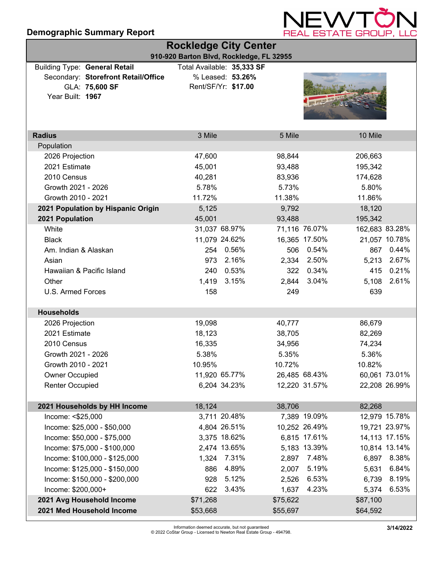### **Demographic Summary Report**



| <b>Rockledge City Center</b>                                                |                            |                     |          |               |                |               |
|-----------------------------------------------------------------------------|----------------------------|---------------------|----------|---------------|----------------|---------------|
| 910-920 Barton Blvd, Rockledge, FL 32955                                    |                            |                     |          |               |                |               |
| <b>Building Type: General Retail</b><br>Secondary: Storefront Retail/Office | Total Available: 35,333 SF | % Leased: 53.26%    |          |               |                |               |
| GLA: 75,600 SF                                                              |                            | Rent/SF/Yr: \$17.00 |          |               |                |               |
| Year Built: 1967                                                            |                            |                     |          |               |                |               |
|                                                                             |                            |                     |          |               |                |               |
|                                                                             |                            |                     |          |               |                |               |
|                                                                             |                            |                     |          |               |                |               |
| <b>Radius</b>                                                               | 3 Mile                     |                     | 5 Mile   |               | 10 Mile        |               |
| Population                                                                  |                            |                     |          |               |                |               |
| 2026 Projection                                                             | 47,600                     |                     | 98,844   |               | 206,663        |               |
| 2021 Estimate                                                               | 45,001                     |                     | 93,488   |               | 195,342        |               |
| 2010 Census                                                                 | 40,281                     |                     | 83,936   |               | 174,628        |               |
| Growth 2021 - 2026                                                          | 5.78%                      |                     | 5.73%    |               | 5.80%          |               |
| Growth 2010 - 2021                                                          | 11.72%                     |                     | 11.38%   |               | 11.86%         |               |
| 2021 Population by Hispanic Origin                                          | 5,125                      |                     | 9,792    |               | 18,120         |               |
| 2021 Population                                                             | 45,001                     |                     | 93,488   |               | 195,342        |               |
| White                                                                       |                            | 31,037 68.97%       |          | 71,116 76.07% | 162,683 83.28% |               |
| <b>Black</b>                                                                |                            | 11,079 24.62%       |          | 16,365 17.50% |                | 21,057 10.78% |
| Am. Indian & Alaskan                                                        |                            | 254 0.56%           | 506      | 0.54%         | 867            | 0.44%         |
| Asian                                                                       | 973                        | 2.16%               | 2,334    | 2.50%         | 5,213          | 2.67%         |
| Hawaiian & Pacific Island                                                   | 240                        | 0.53%               | 322      | 0.34%         | 415            | 0.21%         |
| Other                                                                       | 1,419                      | 3.15%               | 2,844    | 3.04%         | 5,108          | 2.61%         |
| U.S. Armed Forces                                                           | 158                        |                     | 249      |               | 639            |               |
| <b>Households</b>                                                           |                            |                     |          |               |                |               |
| 2026 Projection                                                             | 19,098                     |                     | 40,777   |               | 86,679         |               |
| 2021 Estimate                                                               | 18,123                     |                     | 38,705   |               | 82,269         |               |
| 2010 Census                                                                 | 16,335                     |                     | 34,956   |               | 74,234         |               |
| Growth 2021 - 2026                                                          | 5.38%                      |                     | 5.35%    |               | 5.36%          |               |
| Growth 2010 - 2021                                                          | 10.95%                     |                     | 10.72%   |               | 10.82%         |               |
| Owner Occupied                                                              |                            | 11,920 65.77%       |          | 26,485 68.43% |                | 60,061 73.01% |
| <b>Renter Occupied</b>                                                      |                            | 6,204 34.23%        |          | 12,220 31.57% |                | 22,208 26.99% |
|                                                                             |                            |                     |          |               |                |               |
| 2021 Households by HH Income                                                | 18,124                     |                     | 38,706   |               | 82,268         |               |
| Income: <\$25,000                                                           |                            | 3,711 20.48%        |          | 7,389 19.09%  |                | 12,979 15.78% |
| Income: \$25,000 - \$50,000                                                 |                            | 4,804 26.51%        |          | 10,252 26.49% |                | 19,721 23.97% |
| Income: \$50,000 - \$75,000                                                 |                            | 3,375 18.62%        |          | 6,815 17.61%  |                | 14,113 17.15% |
| Income: \$75,000 - \$100,000                                                |                            | 2,474 13.65%        |          | 5,183 13.39%  |                | 10,814 13.14% |
| Income: \$100,000 - \$125,000                                               |                            | 1,324 7.31%         |          | 2,897 7.48%   |                | 6,897 8.38%   |
| Income: \$125,000 - \$150,000                                               | 886                        | 4.89%               | 2,007    | 5.19%         | 5,631          | 6.84%         |
| Income: \$150,000 - \$200,000                                               | 928                        | 5.12%               |          | 2,526 6.53%   |                | 6,739 8.19%   |
| Income: \$200,000+                                                          | 622                        | 3.43%               | 1,637    | 4.23%         | 5,374          | 6.53%         |
| 2021 Avg Household Income                                                   | \$71,268                   |                     | \$75,622 |               | \$87,100       |               |
| 2021 Med Household Income                                                   | \$53,668                   |                     | \$55,697 |               | \$64,592       |               |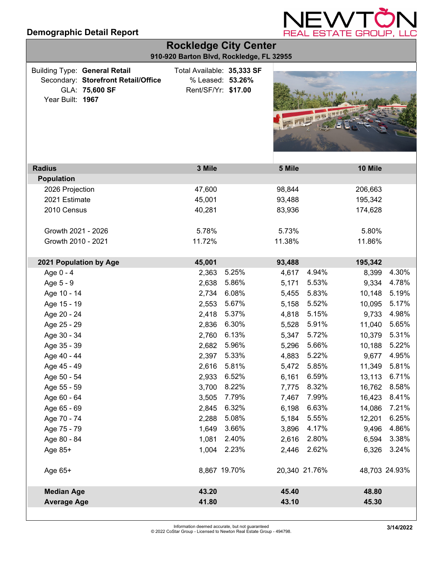

| <b>Rockledge City Center</b><br>910-920 Barton Blvd, Rockledge, FL 32955                                          |                                                                       |       |        |               |               |       |
|-------------------------------------------------------------------------------------------------------------------|-----------------------------------------------------------------------|-------|--------|---------------|---------------|-------|
| <b>Building Type: General Retail</b><br>Secondary: Storefront Retail/Office<br>GLA: 75,600 SF<br>Year Built: 1967 | Total Available: 35,333 SF<br>% Leased: 53.26%<br>Rent/SF/Yr: \$17.00 |       |        |               |               |       |
| <b>Radius</b>                                                                                                     | 3 Mile                                                                |       | 5 Mile |               | 10 Mile       |       |
| <b>Population</b>                                                                                                 |                                                                       |       |        |               |               |       |
| 2026 Projection                                                                                                   | 47,600                                                                |       | 98,844 |               | 206,663       |       |
| 2021 Estimate                                                                                                     | 45,001                                                                |       | 93,488 |               | 195,342       |       |
| 2010 Census                                                                                                       | 40,281                                                                |       | 83,936 |               | 174,628       |       |
| Growth 2021 - 2026                                                                                                | 5.78%                                                                 |       | 5.73%  |               | 5.80%         |       |
| Growth 2010 - 2021                                                                                                | 11.72%                                                                |       | 11.38% |               | 11.86%        |       |
| 2021 Population by Age                                                                                            | 45,001                                                                |       | 93,488 |               | 195,342       |       |
| Age 0 - 4                                                                                                         | 2,363                                                                 | 5.25% | 4,617  | 4.94%         | 8,399         | 4.30% |
| Age 5 - 9                                                                                                         | 2,638                                                                 | 5.86% | 5,171  | 5.53%         | 9,334         | 4.78% |
| Age 10 - 14                                                                                                       | 2,734                                                                 | 6.08% | 5,455  | 5.83%         | 10,148        | 5.19% |
| Age 15 - 19                                                                                                       | 2,553                                                                 | 5.67% | 5,158  | 5.52%         | 10,095        | 5.17% |
| Age 20 - 24                                                                                                       | 2,418                                                                 | 5.37% | 4,818  | 5.15%         | 9,733         | 4.98% |
| Age 25 - 29                                                                                                       | 2,836                                                                 | 6.30% | 5,528  | 5.91%         | 11,040        | 5.65% |
| Age 30 - 34                                                                                                       | 2,760                                                                 | 6.13% | 5,347  | 5.72%         | 10,379        | 5.31% |
| Age 35 - 39                                                                                                       | 2,682                                                                 | 5.96% | 5,296  | 5.66%         | 10,188        | 5.22% |
| Age 40 - 44                                                                                                       | 2,397                                                                 | 5.33% | 4,883  | 5.22%         | 9,677         | 4.95% |
| Age 45 - 49                                                                                                       | 2,616 5.81%                                                           |       | 5,472  | 5.85%         | 11,349        | 5.81% |
| Age 50 - 54                                                                                                       | 2,933                                                                 | 6.52% | 6,161  | 6.59%         | 13,113        | 6.71% |
| Age 55 - 59                                                                                                       | 3,700                                                                 | 8.22% | 7,775  | 8.32%         | 16,762        | 8.58% |
| Age 60 - 64                                                                                                       | 3,505                                                                 | 7.79% | 7,467  | 7.99%         | 16,423        | 8.41% |
| Age 65 - 69                                                                                                       | 2,845                                                                 | 6.32% | 6,198  | 6.63%         | 14,086        | 7.21% |
| Age 70 - 74                                                                                                       | 2,288                                                                 | 5.08% | 5,184  | 5.55%         | 12,201        | 6.25% |
| Age 75 - 79                                                                                                       | 1,649                                                                 | 3.66% | 3,896  | 4.17%         | 9,496         | 4.86% |
| Age 80 - 84                                                                                                       | 1,081                                                                 | 2.40% | 2,616  | 2.80%         | 6,594         | 3.38% |
| Age 85+                                                                                                           | 1,004 2.23%                                                           |       | 2,446  | 2.62%         | 6,326         | 3.24% |
| Age 65+                                                                                                           | 8,867 19.70%                                                          |       |        | 20,340 21.76% | 48,703 24.93% |       |
| <b>Median Age</b>                                                                                                 | 43.20                                                                 |       | 45.40  |               | 48.80         |       |
| <b>Average Age</b>                                                                                                | 41.80                                                                 |       | 43.10  |               | 45.30         |       |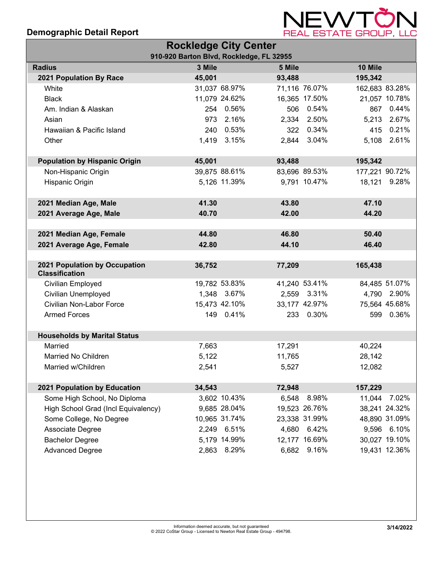

| <b>Rockledge City Center</b>         |        |               |                                          |               |                |               |
|--------------------------------------|--------|---------------|------------------------------------------|---------------|----------------|---------------|
|                                      |        |               | 910-920 Barton Blvd, Rockledge, FL 32955 |               |                |               |
| <b>Radius</b>                        | 3 Mile |               | 5 Mile                                   |               | 10 Mile        |               |
| 2021 Population By Race              | 45,001 |               | 93,488                                   |               | 195,342        |               |
| White                                |        | 31,037 68.97% |                                          | 71,116 76.07% | 162,683 83.28% |               |
| <b>Black</b>                         |        | 11,079 24.62% |                                          | 16,365 17.50% |                | 21,057 10.78% |
| Am. Indian & Alaskan                 |        | 254 0.56%     |                                          | 506 0.54%     | 867            | 0.44%         |
| Asian                                | 973    | 2.16%         |                                          | 2,334 2.50%   |                | 5,213 2.67%   |
| Hawaiian & Pacific Island            | 240    | 0.53%         |                                          | 322 0.34%     | 415            | 0.21%         |
| Other                                |        | 1,419 3.15%   |                                          | 2,844 3.04%   | 5,108          | 2.61%         |
|                                      |        |               |                                          |               |                |               |
| <b>Population by Hispanic Origin</b> | 45,001 |               | 93,488                                   |               | 195,342        |               |
| Non-Hispanic Origin                  |        | 39,875 88.61% |                                          | 83,696 89.53% | 177,221 90.72% |               |
| Hispanic Origin                      |        | 5,126 11.39%  |                                          | 9,791 10.47%  |                | 18,121 9.28%  |
|                                      |        |               |                                          |               |                |               |
| 2021 Median Age, Male                | 41.30  |               | 43.80                                    |               | 47.10          |               |
| 2021 Average Age, Male               | 40.70  |               | 42.00                                    |               | 44.20          |               |
|                                      |        |               |                                          |               |                |               |
| 2021 Median Age, Female              | 44.80  |               | 46.80                                    |               | 50.40          |               |
| 2021 Average Age, Female             | 42.80  |               | 44.10                                    |               | 46.40          |               |
|                                      |        |               |                                          |               |                |               |
| 2021 Population by Occupation        | 36,752 |               | 77,209                                   |               | 165,438        |               |
| <b>Classification</b>                |        |               |                                          |               |                |               |
| Civilian Employed                    |        | 19,782 53.83% |                                          | 41,240 53.41% |                | 84,485 51.07% |
| Civilian Unemployed                  |        | 1,348 3.67%   |                                          | 2,559 3.31%   |                | 4,790 2.90%   |
| Civilian Non-Labor Force             |        | 15,473 42.10% |                                          | 33,177 42.97% |                | 75,564 45.68% |
| <b>Armed Forces</b>                  |        | 149 0.41%     |                                          | 233 0.30%     |                | 599 0.36%     |
|                                      |        |               |                                          |               |                |               |
| <b>Households by Marital Status</b>  |        |               |                                          |               |                |               |
| Married                              | 7,663  |               | 17,291                                   |               | 40,224         |               |
| Married No Children                  | 5,122  |               | 11,765                                   |               | 28,142         |               |
| Married w/Children                   | 2,541  |               | 5,527                                    |               | 12,082         |               |
|                                      |        |               |                                          |               |                |               |
| 2021 Population by Education         | 34,543 |               | 72,948                                   |               | 157,229        |               |
| Some High School, No Diploma         |        | 3,602 10.43%  | 6,548                                    | 8.98%         | 11,044         | 7.02%         |
| High School Grad (Incl Equivalency)  |        | 9,685 28.04%  |                                          | 19,523 26.76% |                | 38,241 24.32% |
| Some College, No Degree              |        | 10,965 31.74% |                                          | 23,338 31.99% |                | 48,890 31.09% |
| Associate Degree                     |        | 2,249 6.51%   | 4,680                                    | 6.42%         | 9,596          | 6.10%         |
| <b>Bachelor Degree</b>               |        | 5,179 14.99%  |                                          | 12,177 16.69% |                | 30,027 19.10% |
| <b>Advanced Degree</b>               |        | 2,863 8.29%   | 6,682                                    | 9.16%         |                | 19,431 12.36% |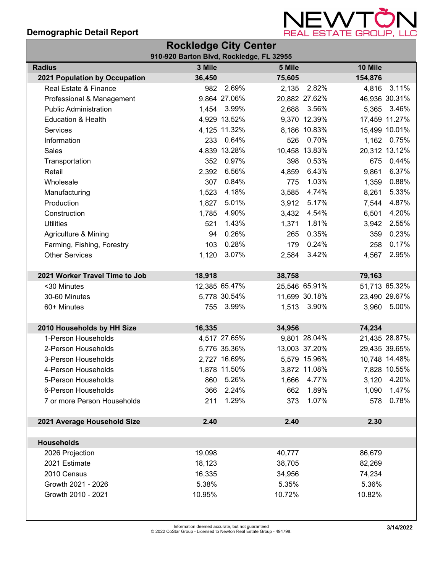

|                                | <b>Rockledge City Center</b>             |               |        |               |         |               |
|--------------------------------|------------------------------------------|---------------|--------|---------------|---------|---------------|
|                                | 910-920 Barton Blvd, Rockledge, FL 32955 |               |        |               |         |               |
| <b>Radius</b>                  | 3 Mile                                   |               | 5 Mile |               | 10 Mile |               |
| 2021 Population by Occupation  | 36,450                                   |               | 75,605 |               | 154,876 |               |
| Real Estate & Finance          | 982                                      | 2.69%         | 2,135  | 2.82%         | 4,816   | 3.11%         |
| Professional & Management      |                                          | 9,864 27.06%  |        | 20,882 27.62% |         | 46,936 30.31% |
| <b>Public Administration</b>   |                                          | 1,454 3.99%   | 2,688  | 3.56%         | 5,365   | 3.46%         |
| <b>Education &amp; Health</b>  |                                          | 4,929 13.52%  |        | 9,370 12.39%  |         | 17,459 11.27% |
| Services                       |                                          | 4,125 11.32%  |        | 8,186 10.83%  |         | 15,499 10.01% |
| Information                    | 233                                      | 0.64%         | 526    | 0.70%         | 1,162   | 0.75%         |
| Sales                          |                                          | 4,839 13.28%  |        | 10,458 13.83% |         | 20,312 13.12% |
| Transportation                 |                                          | 352 0.97%     | 398    | 0.53%         | 675     | 0.44%         |
| Retail                         | 2,392                                    | 6.56%         | 4,859  | 6.43%         | 9,861   | 6.37%         |
| Wholesale                      | 307                                      | 0.84%         | 775    | 1.03%         | 1,359   | 0.88%         |
| Manufacturing                  | 1,523                                    | 4.18%         | 3,585  | 4.74%         | 8,261   | 5.33%         |
| Production                     | 1,827                                    | 5.01%         | 3,912  | 5.17%         | 7,544   | 4.87%         |
| Construction                   | 1,785                                    | 4.90%         | 3,432  | 4.54%         | 6,501   | 4.20%         |
| <b>Utilities</b>               | 521                                      | 1.43%         | 1,371  | 1.81%         | 3,942   | 2.55%         |
| Agriculture & Mining           | 94                                       | 0.26%         | 265    | 0.35%         | 359     | 0.23%         |
| Farming, Fishing, Forestry     | 103                                      | 0.28%         | 179    | 0.24%         | 258     | 0.17%         |
| <b>Other Services</b>          | 1,120                                    | 3.07%         | 2,584  | 3.42%         | 4,567   | 2.95%         |
|                                |                                          |               |        |               |         |               |
| 2021 Worker Travel Time to Job | 18,918                                   |               | 38,758 |               | 79,163  |               |
| <30 Minutes                    |                                          | 12,385 65.47% |        | 25,546 65.91% |         | 51,713 65.32% |
| 30-60 Minutes                  |                                          | 5,778 30.54%  |        | 11,699 30.18% |         | 23,490 29.67% |
| 60+ Minutes                    |                                          | 755 3.99%     | 1,513  | 3.90%         | 3,960   | 5.00%         |
|                                |                                          |               |        |               |         |               |
| 2010 Households by HH Size     | 16,335                                   |               | 34,956 |               | 74,234  |               |
| 1-Person Households            |                                          | 4,517 27.65%  |        | 9,801 28.04%  |         | 21,435 28.87% |
| 2-Person Households            |                                          | 5,776 35.36%  |        | 13,003 37.20% |         | 29,435 39.65% |
| 3-Person Households            |                                          | 2,727 16.69%  |        | 5,579 15.96%  |         | 10,748 14.48% |
| 4-Person Households            |                                          | 1,878 11.50%  |        | 3,872 11.08%  |         | 7,828 10.55%  |
| 5-Person Households            | 860                                      | 5.26%         | 1,666  | 4.77%         | 3,120   | 4.20%         |
| 6-Person Households            | 366                                      | 2.24%         | 662    | 1.89%         | 1,090   | 1.47%         |
| 7 or more Person Households    | 211                                      | 1.29%         | 373    | 1.07%         | 578     | 0.78%         |
|                                |                                          |               |        |               |         |               |
| 2021 Average Household Size    | 2.40                                     |               | 2.40   |               | 2.30    |               |
|                                |                                          |               |        |               |         |               |
| <b>Households</b>              |                                          |               |        |               |         |               |
| 2026 Projection                | 19,098                                   |               | 40,777 |               | 86,679  |               |
| 2021 Estimate                  | 18,123                                   |               | 38,705 |               | 82,269  |               |
| 2010 Census                    | 16,335                                   |               | 34,956 |               | 74,234  |               |
| Growth 2021 - 2026             | 5.38%                                    |               | 5.35%  |               | 5.36%   |               |
| Growth 2010 - 2021             | 10.95%                                   |               | 10.72% |               | 10.82%  |               |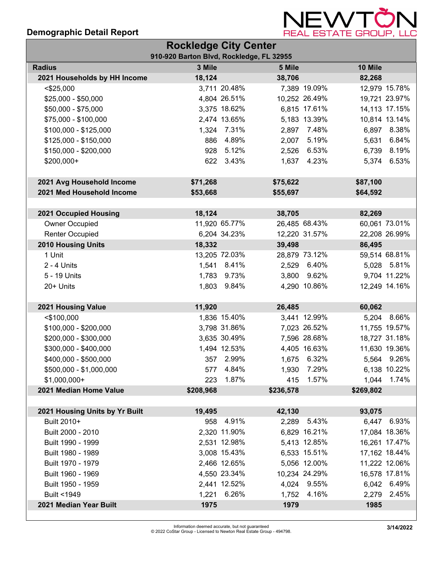

| <b>Rockledge City Center</b>   |                                          |               |           |               |           |               |
|--------------------------------|------------------------------------------|---------------|-----------|---------------|-----------|---------------|
|                                | 910-920 Barton Blvd, Rockledge, FL 32955 |               |           |               |           |               |
| <b>Radius</b>                  | 3 Mile                                   |               | 5 Mile    |               | 10 Mile   |               |
| 2021 Households by HH Income   | 18,124                                   |               | 38,706    |               | 82,268    |               |
| $<$ \$25,000                   |                                          | 3,711 20.48%  |           | 7,389 19.09%  |           | 12,979 15.78% |
| \$25,000 - \$50,000            |                                          | 4,804 26.51%  |           | 10,252 26.49% |           | 19,721 23.97% |
| \$50,000 - \$75,000            |                                          | 3,375 18.62%  |           | 6,815 17.61%  |           | 14,113 17.15% |
| \$75,000 - \$100,000           |                                          | 2,474 13.65%  |           | 5,183 13.39%  |           | 10,814 13.14% |
| \$100,000 - \$125,000          |                                          | 1,324 7.31%   | 2,897     | 7.48%         |           | 6,897 8.38%   |
| \$125,000 - \$150,000          | 886                                      | 4.89%         | 2,007     | 5.19%         | 5,631     | 6.84%         |
| \$150,000 - \$200,000          |                                          | 928 5.12%     | 2,526     | 6.53%         |           | 6,739 8.19%   |
| \$200,000+                     |                                          | 622 3.43%     |           | 1,637 4.23%   |           | 5,374 6.53%   |
| 2021 Avg Household Income      | \$71,268                                 |               | \$75,622  |               | \$87,100  |               |
| 2021 Med Household Income      | \$53,668                                 |               | \$55,697  |               | \$64,592  |               |
|                                |                                          |               |           |               |           |               |
| 2021 Occupied Housing          | 18,124                                   |               | 38,705    |               | 82,269    |               |
| Owner Occupied                 |                                          | 11,920 65.77% |           | 26,485 68.43% |           | 60,061 73.01% |
| <b>Renter Occupied</b>         |                                          | 6,204 34.23%  |           | 12,220 31.57% |           | 22,208 26.99% |
| 2010 Housing Units             | 18,332                                   |               | 39,498    |               | 86,495    |               |
| 1 Unit                         |                                          | 13,205 72.03% |           | 28,879 73.12% |           | 59,514 68.81% |
| $2 - 4$ Units                  |                                          | 1,541 8.41%   |           | 2,529 6.40%   |           | 5,028 5.81%   |
| 5 - 19 Units                   |                                          | 1,783 9.73%   | 3,800     | 9.62%         |           | 9,704 11.22%  |
| 20+ Units                      |                                          | 1,803 9.84%   |           | 4,290 10.86%  |           | 12,249 14.16% |
| 2021 Housing Value             | 11,920                                   |               | 26,485    |               | 60,062    |               |
| $<$ \$100,000                  |                                          | 1,836 15.40%  |           | 3,441 12.99%  |           | 5,204 8.66%   |
| \$100,000 - \$200,000          |                                          | 3,798 31.86%  |           | 7,023 26.52%  |           | 11,755 19.57% |
| \$200,000 - \$300,000          |                                          | 3,635 30.49%  |           | 7,596 28.68%  |           | 18,727 31.18% |
| \$300,000 - \$400,000          |                                          | 1,494 12.53%  |           | 4,405 16.63%  |           | 11,630 19.36% |
| \$400,000 - \$500,000          |                                          | 357 2.99%     |           | 1,675 6.32%   |           | 5,564 9.26%   |
| \$500,000 - \$1,000,000        |                                          | 577 4.84%     | 1,930     | 7.29%         |           | 6,138 10.22%  |
| $$1,000,000+$                  | 223                                      | 1.87%         | 415       | 1.57%         | 1,044     | 1.74%         |
| 2021 Median Home Value         | \$208,968                                |               | \$236,578 |               | \$269,802 |               |
|                                |                                          |               |           |               |           |               |
| 2021 Housing Units by Yr Built | 19,495                                   |               | 42,130    |               | 93,075    |               |
| Built 2010+                    | 958                                      | 4.91%         |           | 2,289 5.43%   |           | 6,447 6.93%   |
| Built 2000 - 2010              |                                          | 2,320 11.90%  |           | 6,829 16.21%  |           | 17,084 18.36% |
| Built 1990 - 1999              |                                          | 2,531 12.98%  |           | 5,413 12.85%  |           | 16,261 17.47% |
| Built 1980 - 1989              |                                          | 3,008 15.43%  |           | 6,533 15.51%  |           | 17,162 18.44% |
| Built 1970 - 1979              |                                          | 2,466 12.65%  |           | 5,056 12.00%  |           | 11,222 12.06% |
| Built 1960 - 1969              |                                          | 4,550 23.34%  |           | 10,234 24.29% |           | 16,578 17.81% |
| Built 1950 - 1959              |                                          | 2,441 12.52%  |           | 4,024 9.55%   |           | 6,042 6.49%   |
| Built <1949                    |                                          | 1,221 6.26%   | 1,752     | 4.16%         | 2,279     | 2.45%         |
| 2021 Median Year Built         | 1975                                     |               | 1979      |               | 1985      |               |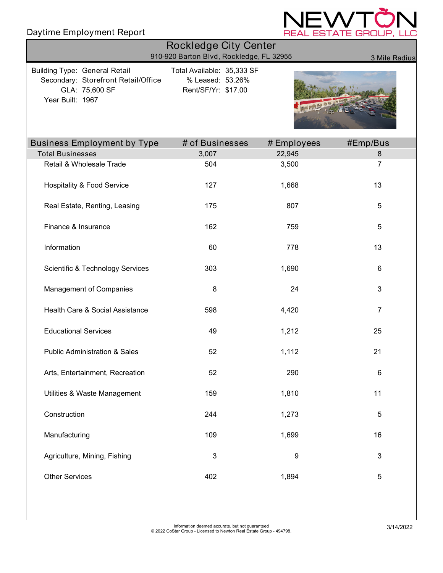# Daytime Employment Report



| <b>Rockledge City Center</b>                                                                                      |                                                                       |             |                |  |  |
|-------------------------------------------------------------------------------------------------------------------|-----------------------------------------------------------------------|-------------|----------------|--|--|
|                                                                                                                   | 910-920 Barton Blvd, Rockledge, FL 32955                              |             | 3 Mile Radius  |  |  |
| <b>Building Type: General Retail</b><br>Secondary: Storefront Retail/Office<br>GLA: 75,600 SF<br>Year Built: 1967 | Total Available: 35,333 SF<br>% Leased: 53.26%<br>Rent/SF/Yr: \$17.00 |             |                |  |  |
| <b>Business Employment by Type</b>                                                                                | # of Businesses                                                       | # Employees | #Emp/Bus       |  |  |
| <b>Total Businesses</b>                                                                                           | 3,007                                                                 | 22,945      | 8              |  |  |
| Retail & Wholesale Trade                                                                                          | 504                                                                   | 3,500       | 7              |  |  |
| <b>Hospitality &amp; Food Service</b>                                                                             | 127                                                                   | 1,668       | 13             |  |  |
| Real Estate, Renting, Leasing                                                                                     | 175                                                                   | 807         | 5              |  |  |
| Finance & Insurance                                                                                               | 162                                                                   | 759         | 5              |  |  |
| Information                                                                                                       | 60                                                                    | 778         | 13             |  |  |
| <b>Scientific &amp; Technology Services</b>                                                                       | 303                                                                   | 1,690       | 6              |  |  |
| Management of Companies                                                                                           | 8                                                                     | 24          | 3              |  |  |
| Health Care & Social Assistance                                                                                   | 598                                                                   | 4,420       | $\overline{7}$ |  |  |
| <b>Educational Services</b>                                                                                       | 49                                                                    | 1,212       | 25             |  |  |
| <b>Public Administration &amp; Sales</b>                                                                          | 52                                                                    | 1,112       | 21             |  |  |
| Arts, Entertainment, Recreation                                                                                   | 52                                                                    | 290         | 6              |  |  |
| Utilities & Waste Management                                                                                      | 159                                                                   | 1,810       | 11             |  |  |
| Construction                                                                                                      | 244                                                                   | 1,273       | 5              |  |  |
| Manufacturing                                                                                                     | 109                                                                   | 1,699       | 16             |  |  |
| Agriculture, Mining, Fishing                                                                                      | $\mathsf 3$                                                           | 9           | $\mathsf 3$    |  |  |
| <b>Other Services</b>                                                                                             | 402                                                                   | 1,894       | 5              |  |  |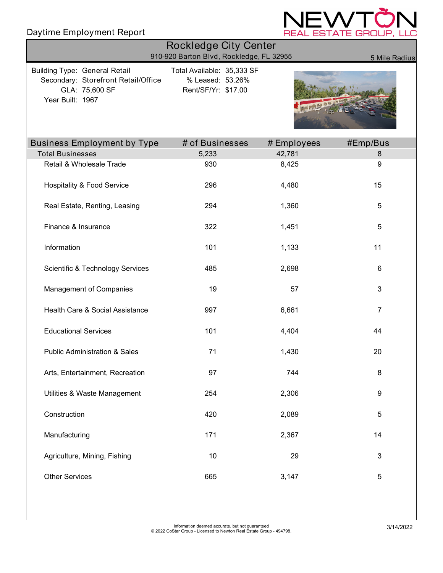# Daytime Employment Report



| <b>Rockledge City Center</b><br>910-920 Barton Blvd, Rockledge, FL 32955                                          |                                                                       |             |               |  |  |  |
|-------------------------------------------------------------------------------------------------------------------|-----------------------------------------------------------------------|-------------|---------------|--|--|--|
| <b>Building Type: General Retail</b><br>Secondary: Storefront Retail/Office<br>GLA: 75,600 SF<br>Year Built: 1967 | Total Available: 35,333 SF<br>% Leased: 53.26%<br>Rent/SF/Yr: \$17.00 |             | 5 Mile Radius |  |  |  |
| <b>Business Employment by Type</b>                                                                                | # of Businesses                                                       | # Employees | #Emp/Bus      |  |  |  |
| <b>Total Businesses</b>                                                                                           | 5,233                                                                 | 42,781      | 8             |  |  |  |
| Retail & Wholesale Trade                                                                                          | 930                                                                   | 8,425       | 9             |  |  |  |
| <b>Hospitality &amp; Food Service</b>                                                                             | 296                                                                   | 4,480       | 15            |  |  |  |
| Real Estate, Renting, Leasing                                                                                     | 294                                                                   | 1,360       | 5             |  |  |  |
| Finance & Insurance                                                                                               | 322                                                                   | 1,451       | 5             |  |  |  |
| Information                                                                                                       | 101                                                                   | 1,133       | 11            |  |  |  |
| <b>Scientific &amp; Technology Services</b>                                                                       | 485                                                                   | 2,698       | 6             |  |  |  |
| Management of Companies                                                                                           | 19                                                                    | 57          | 3             |  |  |  |
| Health Care & Social Assistance                                                                                   | 997                                                                   | 6,661       | 7             |  |  |  |
| <b>Educational Services</b>                                                                                       | 101                                                                   | 4,404       | 44            |  |  |  |
| <b>Public Administration &amp; Sales</b>                                                                          | 71                                                                    | 1,430       | 20            |  |  |  |
| Arts, Entertainment, Recreation                                                                                   | 97                                                                    | 744         | 8             |  |  |  |
| Utilities & Waste Management                                                                                      | 254                                                                   | 2,306       | 9             |  |  |  |
| Construction                                                                                                      | 420                                                                   | 2,089       | 5             |  |  |  |
| Manufacturing                                                                                                     | 171                                                                   | 2,367       | 14            |  |  |  |
| Agriculture, Mining, Fishing                                                                                      | 10                                                                    | 29          | 3             |  |  |  |
| <b>Other Services</b>                                                                                             | 665                                                                   | 3,147       | 5             |  |  |  |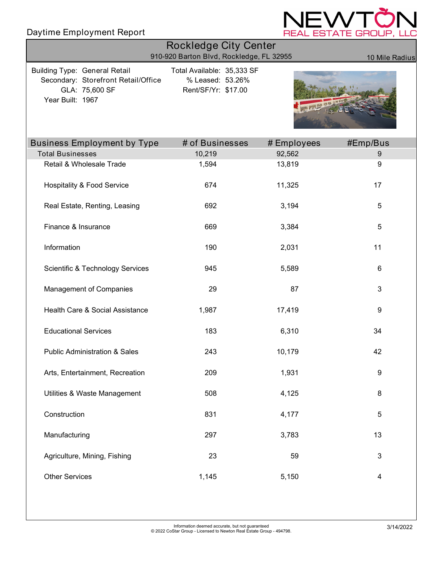

| <b>Rockledge City Center</b><br>910-920 Barton Blvd, Rockledge, FL 32955<br>10 Mile Radius                        |                                                                       |             |                  |  |  |  |
|-------------------------------------------------------------------------------------------------------------------|-----------------------------------------------------------------------|-------------|------------------|--|--|--|
| <b>Building Type: General Retail</b><br>Secondary: Storefront Retail/Office<br>GLA: 75,600 SF<br>Year Built: 1967 | Total Available: 35,333 SF<br>% Leased: 53.26%<br>Rent/SF/Yr: \$17.00 |             |                  |  |  |  |
| <b>Business Employment by Type</b>                                                                                | # of Businesses                                                       | # Employees | #Emp/Bus         |  |  |  |
| <b>Total Businesses</b>                                                                                           | 10,219                                                                | 92,562      | $\boldsymbol{9}$ |  |  |  |
| Retail & Wholesale Trade                                                                                          | 1,594                                                                 | 13,819      | 9                |  |  |  |
| <b>Hospitality &amp; Food Service</b>                                                                             | 674                                                                   | 11,325      | 17               |  |  |  |
| Real Estate, Renting, Leasing                                                                                     | 692                                                                   | 3,194       | 5                |  |  |  |
| Finance & Insurance                                                                                               | 669                                                                   | 3,384       | 5                |  |  |  |
| Information                                                                                                       | 190                                                                   | 2,031       | 11               |  |  |  |
| <b>Scientific &amp; Technology Services</b>                                                                       | 945                                                                   | 5,589       | 6                |  |  |  |
| Management of Companies                                                                                           | 29                                                                    | 87          | 3                |  |  |  |
| Health Care & Social Assistance                                                                                   | 1,987                                                                 | 17,419      | 9                |  |  |  |
| <b>Educational Services</b>                                                                                       | 183                                                                   | 6,310       | 34               |  |  |  |
| <b>Public Administration &amp; Sales</b>                                                                          | 243                                                                   | 10,179      | 42               |  |  |  |
| Arts, Entertainment, Recreation                                                                                   | 209                                                                   | 1,931       | 9                |  |  |  |
| Utilities & Waste Management                                                                                      | 508                                                                   | 4,125       | 8                |  |  |  |
| Construction                                                                                                      | 831                                                                   | 4,177       | $\sqrt{5}$       |  |  |  |
| Manufacturing                                                                                                     | 297                                                                   | 3,783       | 13               |  |  |  |
| Agriculture, Mining, Fishing                                                                                      | 23                                                                    | 59          | 3                |  |  |  |
| <b>Other Services</b>                                                                                             | 1,145                                                                 | 5,150       | 4                |  |  |  |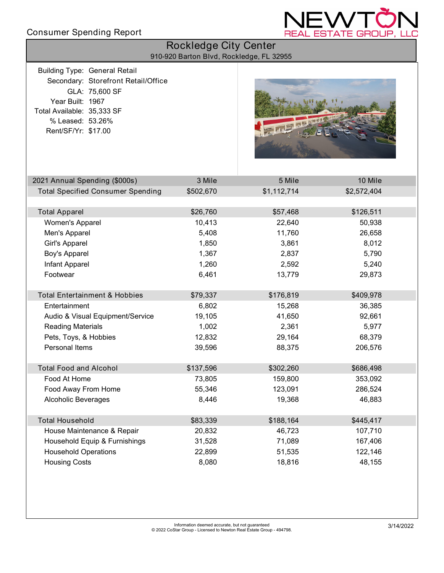### Consumer Spending Report



| Rockledge City Center<br>910-920 Barton Blvd, Rockledge, FL 32955                                                                 |                                                       |           |             |             |  |
|-----------------------------------------------------------------------------------------------------------------------------------|-------------------------------------------------------|-----------|-------------|-------------|--|
| <b>Building Type: General Retail</b><br>Year Built: 1967<br>Total Available: 35,333 SF<br>% Leased: 53.26%<br>Rent/SF/Yr: \$17.00 | Secondary: Storefront Retail/Office<br>GLA: 75,600 SF |           | 司事部門        |             |  |
| 2021 Annual Spending (\$000s)                                                                                                     |                                                       | 3 Mile    | 5 Mile      | 10 Mile     |  |
|                                                                                                                                   | <b>Total Specified Consumer Spending</b>              | \$502,670 | \$1,112,714 | \$2,572,404 |  |
|                                                                                                                                   |                                                       |           |             |             |  |
| <b>Total Apparel</b>                                                                                                              |                                                       | \$26,760  | \$57,468    | \$126,511   |  |
| Women's Apparel                                                                                                                   |                                                       | 10,413    | 22,640      | 50,938      |  |
| Men's Apparel                                                                                                                     |                                                       | 5,408     | 11,760      | 26,658      |  |
| Girl's Apparel                                                                                                                    |                                                       | 1,850     | 3,861       | 8,012       |  |
| Boy's Apparel                                                                                                                     |                                                       | 1,367     | 2,837       | 5,790       |  |
| Infant Apparel                                                                                                                    |                                                       | 1,260     | 2,592       | 5,240       |  |
| Footwear                                                                                                                          |                                                       | 6,461     | 13,779      | 29,873      |  |
| <b>Total Entertainment &amp; Hobbies</b>                                                                                          |                                                       | \$79,337  | \$176,819   | \$409,978   |  |
| Entertainment                                                                                                                     |                                                       | 6,802     | 15,268      | 36,385      |  |
|                                                                                                                                   | Audio & Visual Equipment/Service                      | 19,105    | 41,650      | 92,661      |  |
| <b>Reading Materials</b>                                                                                                          |                                                       | 1,002     | 2,361       | 5,977       |  |
| Pets, Toys, & Hobbies                                                                                                             |                                                       | 12,832    | 29,164      | 68,379      |  |
| Personal Items                                                                                                                    |                                                       | 39,596    | 88,375      | 206,576     |  |
| Total Food and Alcohol                                                                                                            |                                                       | \$137,596 | \$302,260   | \$686,498   |  |
| Food At Home                                                                                                                      |                                                       | 73,805    | 159,800     | 353,092     |  |
| Food Away From Home                                                                                                               |                                                       | 55,346    | 123,091     | 286,524     |  |
| <b>Alcoholic Beverages</b>                                                                                                        |                                                       | 8,446     | 19,368      | 46,883      |  |
| <b>Total Household</b>                                                                                                            |                                                       | \$83,339  | \$188,164   | \$445,417   |  |
|                                                                                                                                   | House Maintenance & Repair                            | 20,832    | 46,723      | 107,710     |  |
|                                                                                                                                   | Household Equip & Furnishings                         | 31,528    | 71,089      | 167,406     |  |
| <b>Household Operations</b>                                                                                                       |                                                       | 22,899    | 51,535      | 122,146     |  |
| <b>Housing Costs</b>                                                                                                              |                                                       | 8,080     | 18,816      | 48,155      |  |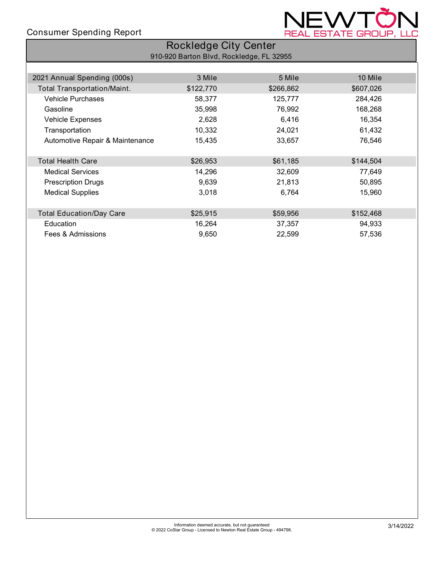### Consumer Spending Report



| <b>Rockledge City Center</b>       |                                          |           |           |  |  |  |  |
|------------------------------------|------------------------------------------|-----------|-----------|--|--|--|--|
|                                    | 910-920 Barton Blvd, Rockledge, FL 32955 |           |           |  |  |  |  |
|                                    |                                          |           |           |  |  |  |  |
| 2021 Annual Spending (000s)        | 3 Mile                                   | 5 Mile    | 10 Mile   |  |  |  |  |
| <b>Total Transportation/Maint.</b> | \$122,770                                | \$266,862 | \$607,026 |  |  |  |  |
| <b>Vehicle Purchases</b>           | 58,377                                   | 125,777   | 284,426   |  |  |  |  |
| Gasoline                           | 35,998                                   | 76,992    | 168,268   |  |  |  |  |
| <b>Vehicle Expenses</b>            | 2,628                                    | 6,416     | 16,354    |  |  |  |  |
| Transportation                     | 10,332                                   | 24,021    | 61,432    |  |  |  |  |
| Automotive Repair & Maintenance    | 15,435                                   | 33,657    | 76,546    |  |  |  |  |
|                                    |                                          |           |           |  |  |  |  |
| <b>Total Health Care</b>           | \$26,953                                 | \$61,185  | \$144,504 |  |  |  |  |
| <b>Medical Services</b>            | 14,296                                   | 32,609    | 77,649    |  |  |  |  |
| <b>Prescription Drugs</b>          | 9,639                                    | 21,813    | 50,895    |  |  |  |  |
| <b>Medical Supplies</b>            | 3,018                                    | 6,764     | 15,960    |  |  |  |  |
|                                    |                                          |           |           |  |  |  |  |
| <b>Total Education/Day Care</b>    | \$25,915                                 | \$59,956  | \$152,468 |  |  |  |  |
| Education                          | 16,264                                   | 37,357    | 94,933    |  |  |  |  |
| Fees & Admissions                  | 9,650                                    | 22,599    | 57,536    |  |  |  |  |